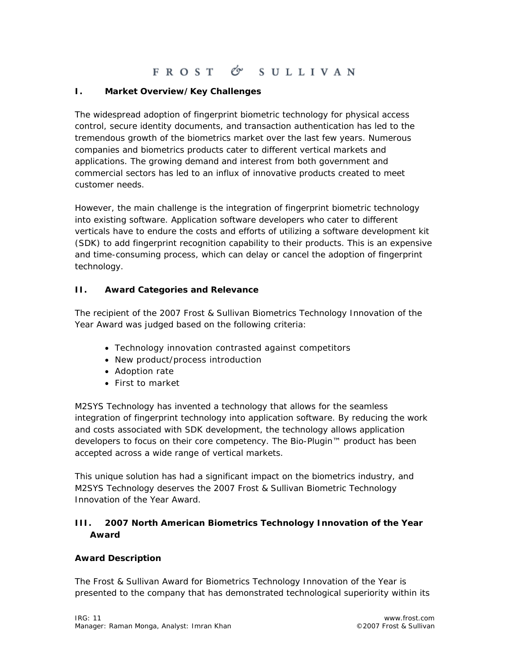# FROST & SULLIVAN

#### **I. Market Overview/Key Challenges**

The widespread adoption of fingerprint biometric technology for physical access control, secure identity documents, and transaction authentication has led to the tremendous growth of the biometrics market over the last few years. Numerous companies and biometrics products cater to different vertical markets and applications. The growing demand and interest from both government and commercial sectors has led to an influx of innovative products created to meet customer needs.

However, the main challenge is the integration of fingerprint biometric technology into existing software. Application software developers who cater to different verticals have to endure the costs and efforts of utilizing a software development kit (SDK) to add fingerprint recognition capability to their products. This is an expensive and time-consuming process, which can delay or cancel the adoption of fingerprint technology.

#### **II. Award Categories and Relevance**

The recipient of the 2007 Frost & Sullivan Biometrics Technology Innovation of the Year Award was judged based on the following criteria:

- Technology innovation contrasted against competitors
- New product/process introduction
- Adoption rate
- First to market

M2SYS Technology has invented a technology that allows for the seamless integration of fingerprint technology into application software. By reducing the work and costs associated with SDK development, the technology allows application developers to focus on their core competency. The Bio-Plugin™ product has been accepted across a wide range of vertical markets.

This unique solution has had a significant impact on the biometrics industry, and M2SYS Technology deserves the 2007 Frost & Sullivan Biometric Technology Innovation of the Year Award.

## **III. 2007 North American Biometrics Technology Innovation of the Year Award**

#### **Award Description**

The Frost & Sullivan Award for Biometrics Technology Innovation of the Year is presented to the company that has demonstrated technological superiority within its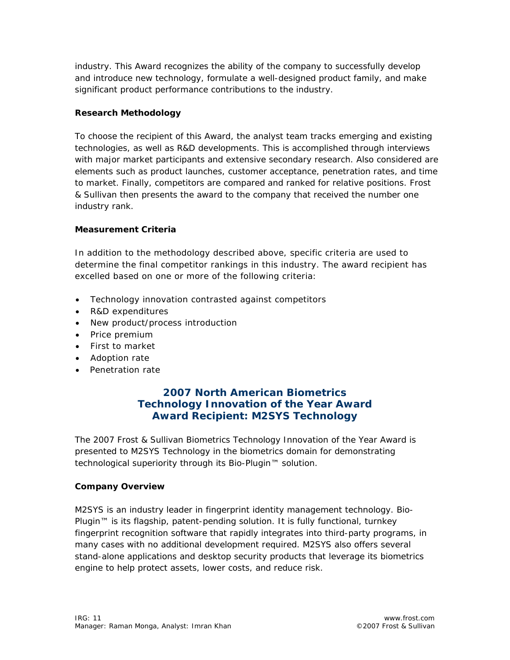industry. This Award recognizes the ability of the company to successfully develop and introduce new technology, formulate a well-designed product family, and make significant product performance contributions to the industry.

#### **Research Methodology**

To choose the recipient of this Award, the analyst team tracks emerging and existing technologies, as well as R&D developments. This is accomplished through interviews with major market participants and extensive secondary research. Also considered are elements such as product launches, customer acceptance, penetration rates, and time to market. Finally, competitors are compared and ranked for relative positions. Frost & Sullivan then presents the award to the company that received the number one industry rank.

#### **Measurement Criteria**

In addition to the methodology described above, specific criteria are used to determine the final competitor rankings in this industry. The award recipient has excelled based on one or more of the following criteria:

- Technology innovation contrasted against competitors
- R&D expenditures
- New product/process introduction
- Price premium
- First to market
- Adoption rate
- Penetration rate

# **2007 North American Biometrics Technology Innovation of the Year Award Award Recipient: M2SYS Technology**

The 2007 Frost & Sullivan Biometrics Technology Innovation of the Year Award is presented to M2SYS Technology in the biometrics domain for demonstrating technological superiority through its Bio-Plugin™ solution.

#### **Company Overview**

M2SYS is an industry leader in fingerprint identity management technology. Bio-Plugin™ is its flagship, patent-pending solution. It is fully functional, turnkey fingerprint recognition software that rapidly integrates into third-party programs, in many cases with no additional development required. M2SYS also offers several stand-alone applications and desktop security products that leverage its biometrics engine to help protect assets, lower costs, and reduce risk.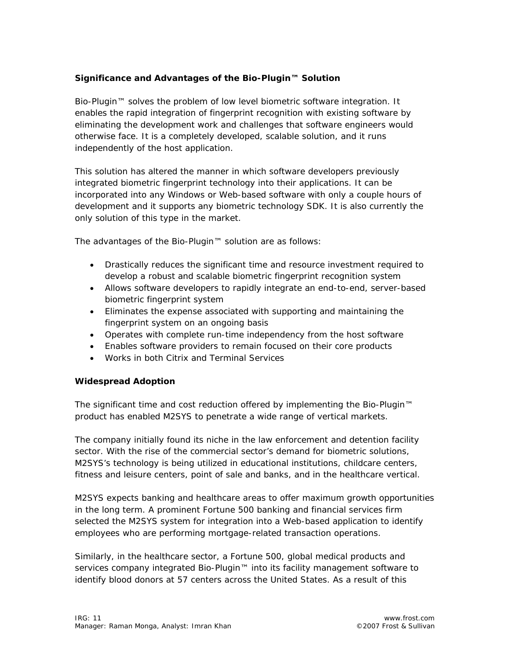## **Significance and Advantages of the Bio-Plugin™ Solution**

Bio-Plugin™ solves the problem of low level biometric software integration. It enables the rapid integration of fingerprint recognition with existing software by eliminating the development work and challenges that software engineers would otherwise face. It is a completely developed, scalable solution, and it runs independently of the host application.

This solution has altered the manner in which software developers previously integrated biometric fingerprint technology into their applications. It can be incorporated into any Windows or Web-based software with only a couple hours of development and it supports any biometric technology SDK. It is also currently the only solution of this type in the market.

The advantages of the Bio-Plugin™ solution are as follows:

- Drastically reduces the significant time and resource investment required to develop a robust and scalable biometric fingerprint recognition system
- Allows software developers to rapidly integrate an end-to-end, server-based biometric fingerprint system
- Eliminates the expense associated with supporting and maintaining the fingerprint system on an ongoing basis
- Operates with complete run-time independency from the host software
- Enables software providers to remain focused on their core products
- Works in both Citrix and Terminal Services

#### **Widespread Adoption**

The significant time and cost reduction offered by implementing the Bio-Plugin™ product has enabled M2SYS to penetrate a wide range of vertical markets.

The company initially found its niche in the law enforcement and detention facility sector. With the rise of the commercial sector's demand for biometric solutions, M2SYS's technology is being utilized in educational institutions, childcare centers, fitness and leisure centers, point of sale and banks, and in the healthcare vertical.

M2SYS expects banking and healthcare areas to offer maximum growth opportunities in the long term. A prominent Fortune 500 banking and financial services firm selected the M2SYS system for integration into a Web-based application to identify employees who are performing mortgage-related transaction operations.

Similarly, in the healthcare sector, a Fortune 500, global medical products and services company integrated Bio-Plugin™ into its facility management software to identify blood donors at 57 centers across the United States. As a result of this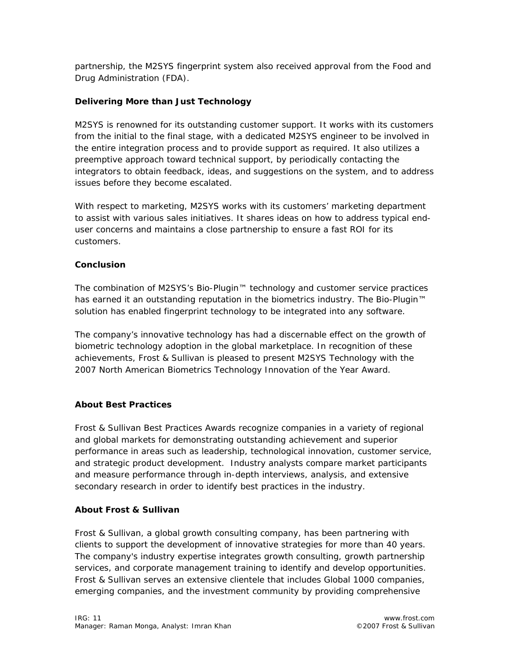partnership, the M2SYS fingerprint system also received approval from the Food and Drug Administration (FDA).

## **Delivering More than Just Technology**

M2SYS is renowned for its outstanding customer support. It works with its customers from the initial to the final stage, with a dedicated M2SYS engineer to be involved in the entire integration process and to provide support as required. It also utilizes a preemptive approach toward technical support, by periodically contacting the integrators to obtain feedback, ideas, and suggestions on the system, and to address issues before they become escalated.

With respect to marketing, M2SYS works with its customers' marketing department to assist with various sales initiatives. It shares ideas on how to address typical enduser concerns and maintains a close partnership to ensure a fast ROI for its customers.

#### **Conclusion**

The combination of M2SYS's Bio-Plugin™ technology and customer service practices has earned it an outstanding reputation in the biometrics industry. The Bio-Plugin™ solution has enabled fingerprint technology to be integrated into any software.

The company's innovative technology has had a discernable effect on the growth of biometric technology adoption in the global marketplace. In recognition of these achievements, Frost & Sullivan is pleased to present M2SYS Technology with the 2007 North American Biometrics Technology Innovation of the Year Award.

#### **About Best Practices**

Frost & Sullivan Best Practices Awards recognize companies in a variety of regional and global markets for demonstrating outstanding achievement and superior performance in areas such as leadership, technological innovation, customer service, and strategic product development. Industry analysts compare market participants and measure performance through in-depth interviews, analysis, and extensive secondary research in order to identify best practices in the industry.

#### **About Frost & Sullivan**

Frost & Sullivan, a global growth consulting company, has been partnering with clients to support the development of innovative strategies for more than 40 years. The company's industry expertise integrates growth consulting, growth partnership services, and corporate management training to identify and develop opportunities. Frost & Sullivan serves an extensive clientele that includes Global 1000 companies, emerging companies, and the investment community by providing comprehensive